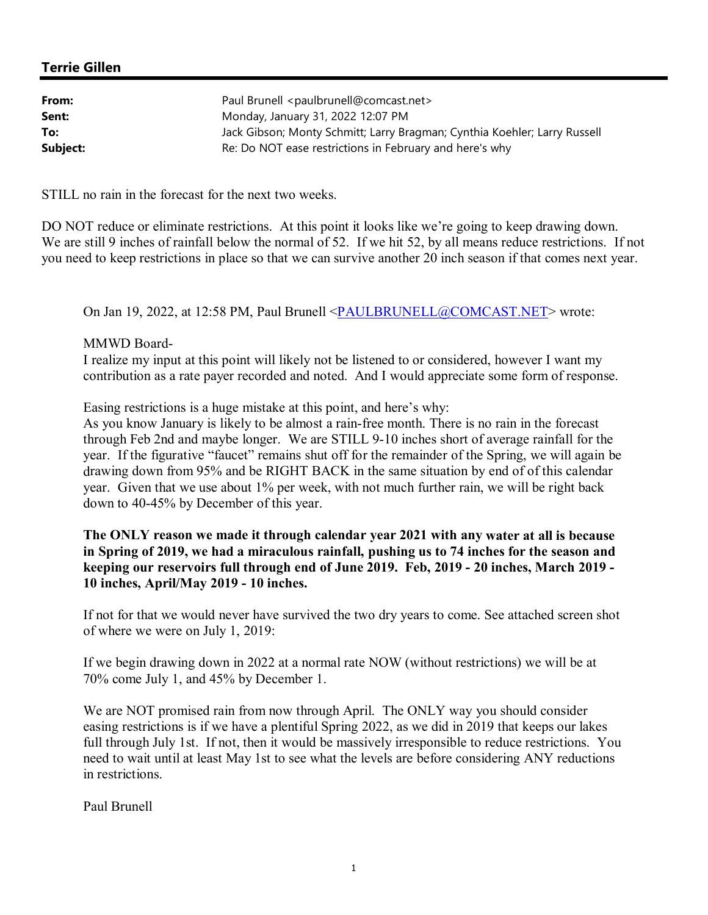## **Terrie Gillen**

| Paul Brunell <paulbrunell@comcast.net></paulbrunell@comcast.net>          |
|---------------------------------------------------------------------------|
| Monday, January 31, 2022 12:07 PM                                         |
| Jack Gibson; Monty Schmitt; Larry Bragman; Cynthia Koehler; Larry Russell |
| Re: Do NOT ease restrictions in February and here's why                   |
|                                                                           |

STILL no rain in the forecast for the next two weeks.

DO NOT reduce or eliminate restrictions. At this point it looks like we're going to keep drawing down. We are still 9 inches of rainfall below the normal of 52. If we hit 52, by all means reduce restrictions. If not you need to keep restrictions in place so that we can survive another 20 inch season if that comes next year.

On Jan 19, 2022, at 12:58 PM, Paul Brunell <PAULBRUNELL@COMCAST.NET> wrote:

#### MMWD Board-

I realize my input at this point will likely not be listened to or considered, however I want my contribution as a rate payer recorded and noted. And I would appreciate some form of response.

Easing restrictions is a huge mistake at this point, and here's why:

As you know January is likely to be almost a rain-free month. There is no rain in the forecast through Feb 2nd and maybe longer. We are STILL 9-10 inches short of average rainfall for the year. If the figurative "faucet" remains shut off for the remainder of the Spring, we will again be drawing down from 95% and be RIGHT BACK in the same situation by end of of this calendar year. Given that we use about 1% per week, with not much further rain, we will be right back down to 40-45% by December of this year.

## **The ONLY reason we made it through calendar year 2021 with any water at all is because in Spring of 2019, we had a miraculous rainfall, pushing us to 74 inches for the season and keeping our reservoirs full through end of June 2019. Feb, 2019 - 20 inches, March 2019 - 10 inches, April/May 2019 - 10 inches.**

If not for that we would never have survived the two dry years to come. See attached screen shot of where we were on July 1, 2019:

If we begin drawing down in 2022 at a normal rate NOW (without restrictions) we will be at 70% come July 1, and 45% by December 1.

We are NOT promised rain from now through April. The ONLY way you should consider easing restrictions is if we have a plentiful Spring 2022, as we did in 2019 that keeps our lakes full through July 1st. If not, then it would be massively irresponsible to reduce restrictions. You need to wait until at least May 1st to see what the levels are before considering ANY reductions in restrictions.

Paul Brunell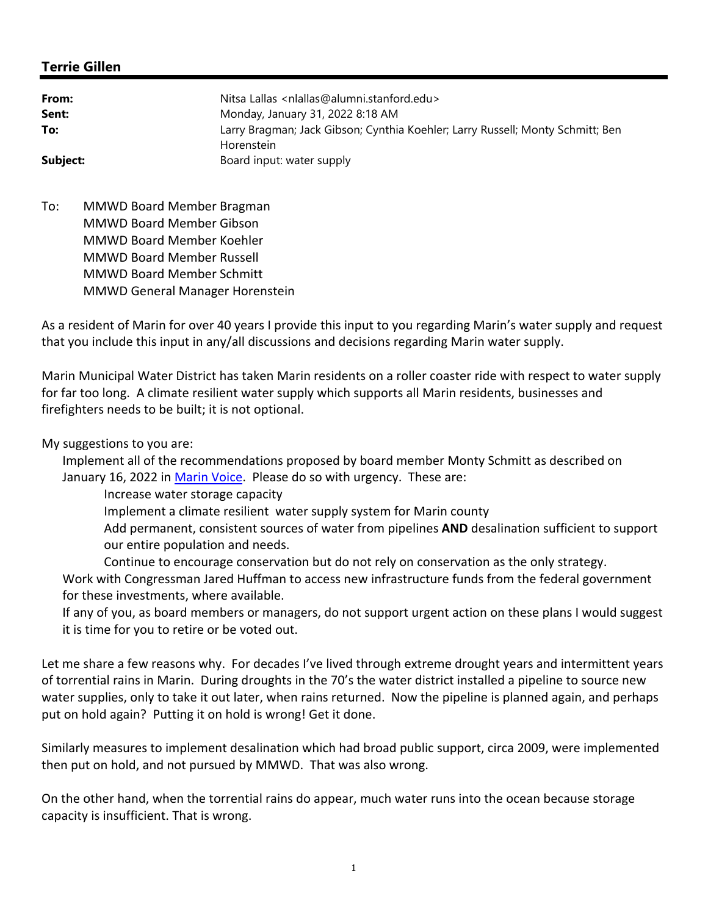# **Terrie Gillen**

| From:    | Nitsa Lallas <nlallas@alumni.stanford.edu></nlallas@alumni.stanford.edu>                     |
|----------|----------------------------------------------------------------------------------------------|
| Sent:    | Monday, January 31, 2022 8:18 AM                                                             |
| To:      | Larry Bragman; Jack Gibson; Cynthia Koehler; Larry Russell; Monty Schmitt; Ben<br>Horenstein |
| Subject: | Board input: water supply                                                                    |

To: MMWD Board Member Bragman MMWD Board Member Gibson MMWD Board Member Koehler MMWD Board Member Russell MMWD Board Member Schmitt MMWD General Manager Horenstein

As a resident of Marin for over 40 years I provide this input to you regarding Marin's water supply and request that you include this input in any/all discussions and decisions regarding Marin water supply.

Marin Municipal Water District has taken Marin residents on a roller coaster ride with respect to water supply for far too long. A climate resilient water supply which supports all Marin residents, businesses and firefighters needs to be built; it is not optional.

## My suggestions to you are:

Implement all of the recommendations proposed by board member Monty Schmitt as described on January 16, 2022 in Marin Voice. Please do so with urgency. These are:

Increase water storage capacity

Implement a climate resilient water supply system for Marin county

Add permanent, consistent sources of water from pipelines **AND** desalination sufficient to support our entire population and needs.

Continue to encourage conservation but do not rely on conservation as the only strategy. Work with Congressman Jared Huffman to access new infrastructure funds from the federal government for these investments, where available.

If any of you, as board members or managers, do not support urgent action on these plans I would suggest it is time for you to retire or be voted out.

Let me share a few reasons why. For decades I've lived through extreme drought years and intermittent years of torrential rains in Marin. During droughts in the 70's the water district installed a pipeline to source new water supplies, only to take it out later, when rains returned. Now the pipeline is planned again, and perhaps put on hold again? Putting it on hold is wrong! Get it done.

Similarly measures to implement desalination which had broad public support, circa 2009, were implemented then put on hold, and not pursued by MMWD. That was also wrong.

On the other hand, when the torrential rains do appear, much water runs into the ocean because storage capacity is insufficient. That is wrong.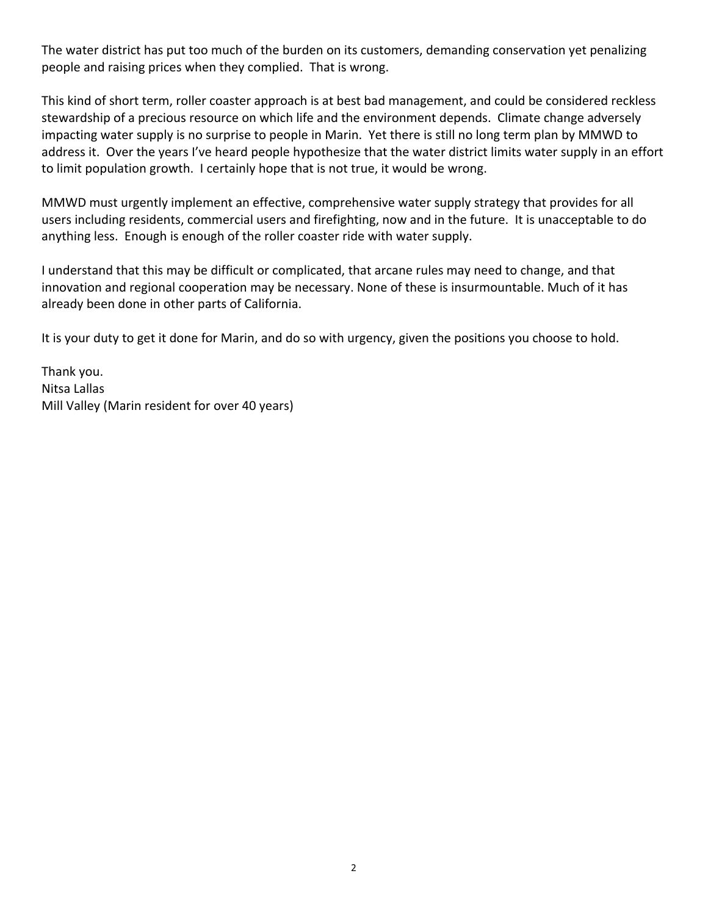The water district has put too much of the burden on its customers, demanding conservation yet penalizing people and raising prices when they complied. That is wrong.

This kind of short term, roller coaster approach is at best bad management, and could be considered reckless stewardship of a precious resource on which life and the environment depends. Climate change adversely impacting water supply is no surprise to people in Marin. Yet there is still no long term plan by MMWD to address it. Over the years I've heard people hypothesize that the water district limits water supply in an effort to limit population growth. I certainly hope that is not true, it would be wrong.

MMWD must urgently implement an effective, comprehensive water supply strategy that provides for all users including residents, commercial users and firefighting, now and in the future. It is unacceptable to do anything less. Enough is enough of the roller coaster ride with water supply.

I understand that this may be difficult or complicated, that arcane rules may need to change, and that innovation and regional cooperation may be necessary. None of these is insurmountable. Much of it has already been done in other parts of California.

It is your duty to get it done for Marin, and do so with urgency, given the positions you choose to hold.

Thank you. Nitsa Lallas Mill Valley (Marin resident for over 40 years)